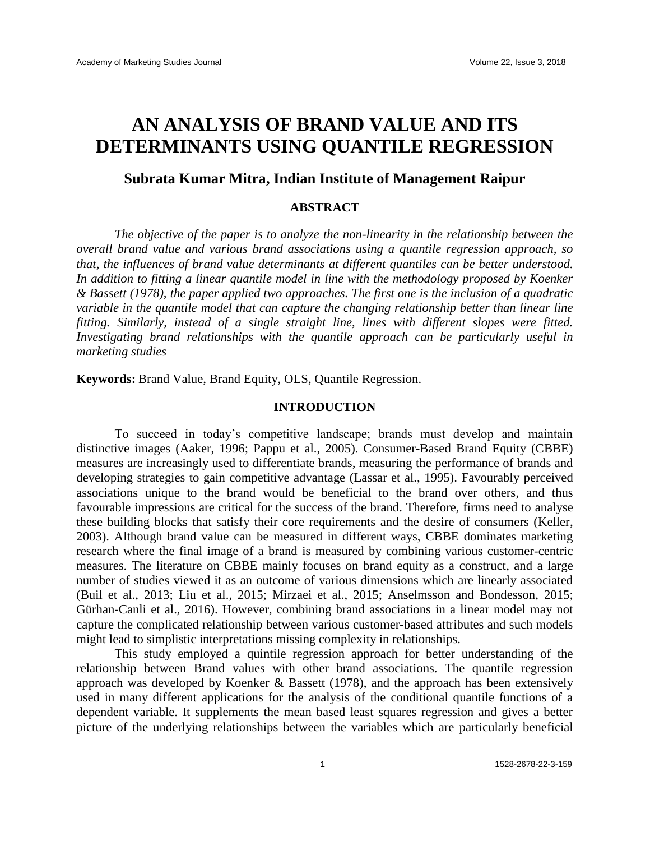# **AN ANALYSIS OF BRAND VALUE AND ITS DETERMINANTS USING QUANTILE REGRESSION**

# **Subrata Kumar Mitra, Indian Institute of Management Raipur**

#### **ABSTRACT**

*The objective of the paper is to analyze the non-linearity in the relationship between the overall brand value and various brand associations using a quantile regression approach, so that, the influences of brand value determinants at different quantiles can be better understood. In addition to fitting a linear quantile model in line with the methodology proposed by Koenker & Bassett (1978), the paper applied two approaches. The first one is the inclusion of a quadratic variable in the quantile model that can capture the changing relationship better than linear line fitting. Similarly, instead of a single straight line, lines with different slopes were fitted. Investigating brand relationships with the quantile approach can be particularly useful in marketing studies*

**Keywords:** Brand Value, Brand Equity, OLS, Quantile Regression.

#### **INTRODUCTION**

To succeed in today's competitive landscape; brands must develop and maintain distinctive images (Aaker, 1996; Pappu et al., 2005). Consumer-Based Brand Equity (CBBE) measures are increasingly used to differentiate brands, measuring the performance of brands and developing strategies to gain competitive advantage (Lassar et al., 1995). Favourably perceived associations unique to the brand would be beneficial to the brand over others, and thus favourable impressions are critical for the success of the brand. Therefore, firms need to analyse these building blocks that satisfy their core requirements and the desire of consumers (Keller, 2003). Although brand value can be measured in different ways, CBBE dominates marketing research where the final image of a brand is measured by combining various customer-centric measures. The literature on CBBE mainly focuses on brand equity as a construct, and a large number of studies viewed it as an outcome of various dimensions which are linearly associated (Buil et al., 2013; Liu et al., 2015; Mirzaei et al., 2015; Anselmsson and Bondesson, 2015; Gürhan-Canli et al., 2016). However, combining brand associations in a linear model may not capture the complicated relationship between various customer-based attributes and such models might lead to simplistic interpretations missing complexity in relationships.

This study employed a quintile regression approach for better understanding of the relationship between Brand values with other brand associations. The quantile regression approach was developed by Koenker & Bassett (1978), and the approach has been extensively used in many different applications for the analysis of the conditional quantile functions of a dependent variable. It supplements the mean based least squares regression and gives a better picture of the underlying relationships between the variables which are particularly beneficial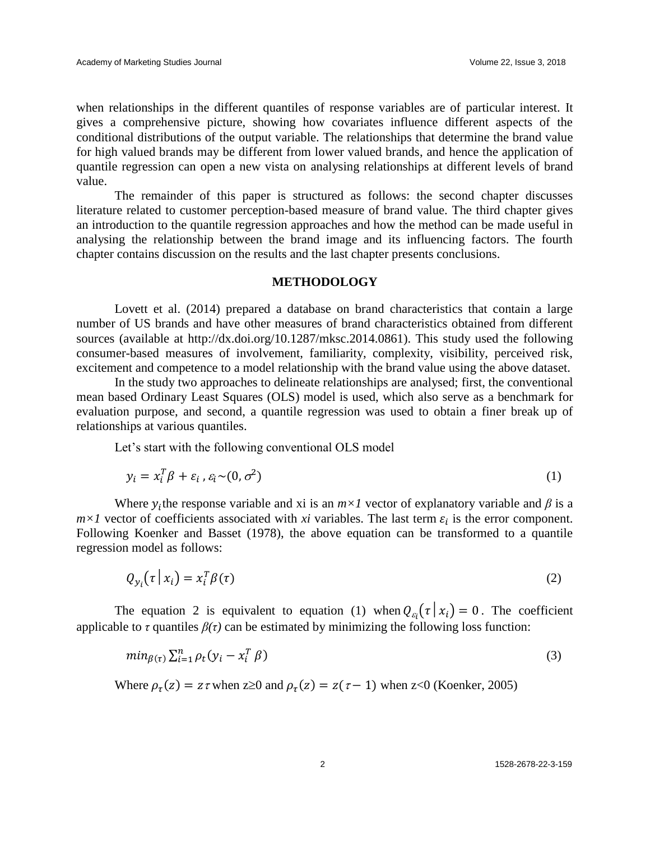when relationships in the different quantiles of response variables are of particular interest. It gives a comprehensive picture, showing how covariates influence different aspects of the conditional distributions of the output variable. The relationships that determine the brand value for high valued brands may be different from lower valued brands, and hence the application of quantile regression can open a new vista on analysing relationships at different levels of brand value.

The remainder of this paper is structured as follows: the second chapter discusses literature related to customer perception-based measure of brand value. The third chapter gives an introduction to the quantile regression approaches and how the method can be made useful in analysing the relationship between the brand image and its influencing factors. The fourth chapter contains discussion on the results and the last chapter presents conclusions.

#### **METHODOLOGY**

Lovett et al. (2014) prepared a database on brand characteristics that contain a large number of US brands and have other measures of brand characteristics obtained from different sources (available at http://dx.doi.org/10.1287/mksc.2014.0861). This study used the following consumer-based measures of involvement, familiarity, complexity, visibility, perceived risk, excitement and competence to a model relationship with the brand value using the above dataset.

In the study two approaches to delineate relationships are analysed; first, the conventional mean based Ordinary Least Squares (OLS) model is used, which also serve as a benchmark for evaluation purpose, and second, a quantile regression was used to obtain a finer break up of relationships at various quantiles.

Let's start with the following conventional OLS model

$$
y_i = x_i^T \beta + \varepsilon_i \cdot \varepsilon_i \sim (0, \sigma^2)
$$
 (1)

Where  $y_i$ the response variable and xi is an  $m \times 1$  vector of explanatory variable and  $\beta$  is a  $m \times I$  vector of coefficients associated with *xi* variables. The last term  $\varepsilon_i$  is the error component. Following Koenker and Basset (1978), the above equation can be transformed to a quantile regression model as follows:

$$
Q_{y_i}(\tau | x_i) = x_i^T \beta(\tau) \tag{2}
$$

The equation 2 is equivalent to equation (1) when  $Q_{\varepsilon_i}(\tau | x_i) = 0$ . The coefficient applicable to  $\tau$  quantiles  $\beta(\tau)$  can be estimated by minimizing the following loss function:

$$
min_{\beta(\tau)} \sum_{i=1}^{n} \rho_t (y_i - x_i^T \beta)
$$
\n(3)

Where  $\rho_{\tau}(z) = z \tau$  when  $z \ge 0$  and  $\rho_{\tau}(z) = z(\tau - 1)$  when  $z < 0$  (Koenker, 2005)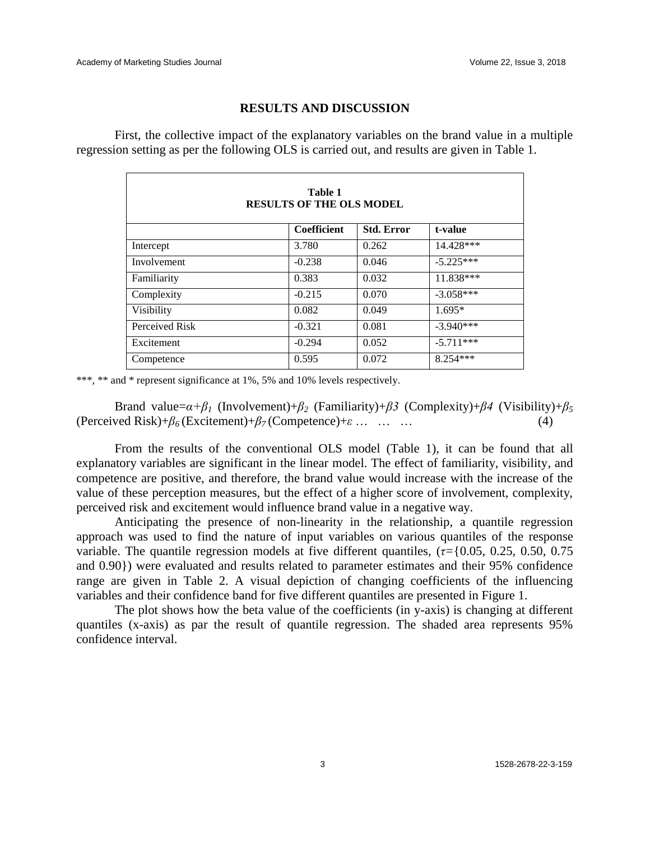## **RESULTS AND DISCUSSION**

First, the collective impact of the explanatory variables on the brand value in a multiple regression setting as per the following OLS is carried out, and results are given in Table 1.

| Table 1<br><b>RESULTS OF THE OLS MODEL</b> |             |                   |             |  |  |  |  |
|--------------------------------------------|-------------|-------------------|-------------|--|--|--|--|
|                                            | Coefficient | <b>Std. Error</b> | t-value     |  |  |  |  |
| Intercept                                  | 3.780       | 0.262             | 14.428***   |  |  |  |  |
| Involvement                                | $-0.238$    | 0.046             | $-5.225***$ |  |  |  |  |
| Familiarity                                | 0.383       | 0.032             | 11.838***   |  |  |  |  |
| Complexity                                 | $-0.215$    | 0.070             | $-3.058***$ |  |  |  |  |
| Visibility                                 | 0.082       | 0.049             | $1.695*$    |  |  |  |  |
| Perceived Risk                             | $-0.321$    | 0.081             | $-3.940***$ |  |  |  |  |
| Excitement                                 | $-0.294$    | 0.052             | $-5.711***$ |  |  |  |  |
| Competence                                 | 0.595       | 0.072             | $8.254***$  |  |  |  |  |

\*\*\*, \*\* and \* represent significance at 1%, 5% and 10% levels respectively.

Brand value= $\alpha + \beta$ <sup>*I*</sup> (Involvement)+ $\beta$ <sup>2</sup> (Familiarity)+ $\beta$ 3 (Complexity)+ $\beta$ 4 (Visibility)+ $\beta$ <sub>5</sub> (Perceived Risk)+*β<sup>6</sup>* (Excitement)+*β<sup>7</sup>* (Competence)+*ε* … … … (4)

From the results of the conventional OLS model (Table 1), it can be found that all explanatory variables are significant in the linear model. The effect of familiarity, visibility, and competence are positive, and therefore, the brand value would increase with the increase of the value of these perception measures, but the effect of a higher score of involvement, complexity, perceived risk and excitement would influence brand value in a negative way.

Anticipating the presence of non-linearity in the relationship, a quantile regression approach was used to find the nature of input variables on various quantiles of the response variable. The quantile regression models at five different quantiles, (*τ=*{0.05, 0.25, 0.50, 0.75 and 0.90}) were evaluated and results related to parameter estimates and their 95% confidence range are given in Table 2. A visual depiction of changing coefficients of the influencing variables and their confidence band for five different quantiles are presented in Figure 1.

The plot shows how the beta value of the coefficients (in y-axis) is changing at different quantiles (x-axis) as par the result of quantile regression. The shaded area represents 95% confidence interval.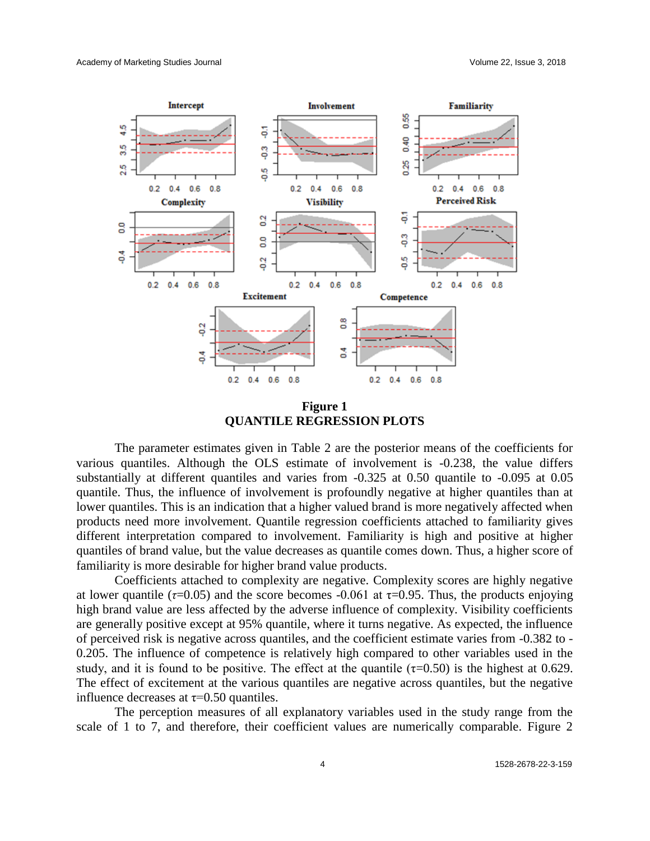

**Figure 1 QUANTILE REGRESSION PLOTS**

The parameter estimates given in Table 2 are the posterior means of the coefficients for various quantiles. Although the OLS estimate of involvement is -0.238, the value differs substantially at different quantiles and varies from -0.325 at 0.50 quantile to -0.095 at 0.05 quantile. Thus, the influence of involvement is profoundly negative at higher quantiles than at lower quantiles. This is an indication that a higher valued brand is more negatively affected when products need more involvement. Quantile regression coefficients attached to familiarity gives different interpretation compared to involvement. Familiarity is high and positive at higher quantiles of brand value, but the value decreases as quantile comes down. Thus, a higher score of familiarity is more desirable for higher brand value products.

Coefficients attached to complexity are negative. Complexity scores are highly negative at lower quantile ( $\tau$ =0.05) and the score becomes -0.061 at  $\tau$ =0.95. Thus, the products enjoying high brand value are less affected by the adverse influence of complexity. Visibility coefficients are generally positive except at 95% quantile, where it turns negative. As expected, the influence of perceived risk is negative across quantiles, and the coefficient estimate varies from -0.382 to - 0.205. The influence of competence is relatively high compared to other variables used in the study, and it is found to be positive. The effect at the quantile  $(\tau=0.50)$  is the highest at 0.629. The effect of excitement at the various quantiles are negative across quantiles, but the negative influence decreases at  $\tau$ =0.50 quantiles.

The perception measures of all explanatory variables used in the study range from the scale of 1 to 7, and therefore, their coefficient values are numerically comparable. Figure 2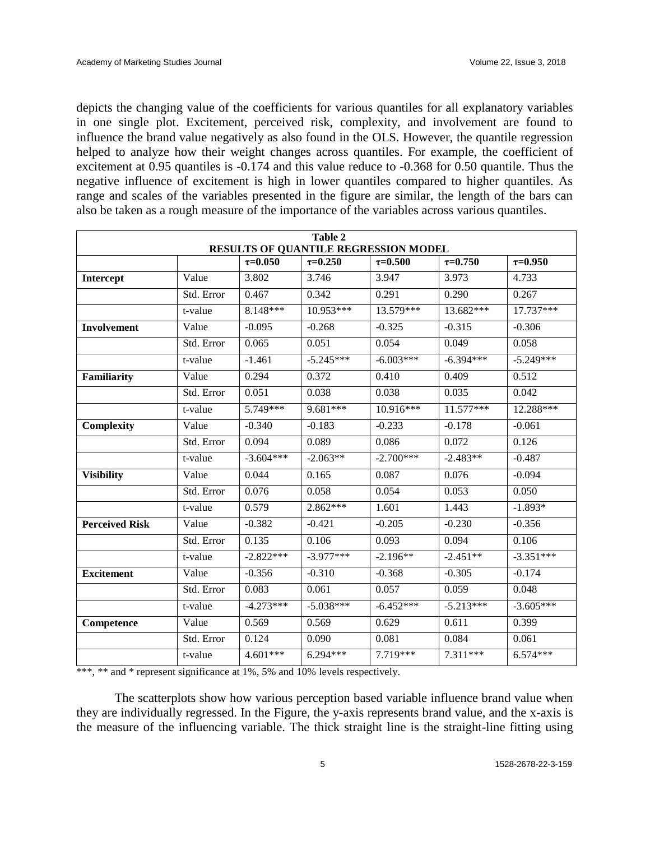depicts the changing value of the coefficients for various quantiles for all explanatory variables in one single plot. Excitement, perceived risk, complexity, and involvement are found to influence the brand value negatively as also found in the OLS. However, the quantile regression helped to analyze how their weight changes across quantiles. For example, the coefficient of excitement at 0.95 quantiles is -0.174 and this value reduce to -0.368 for 0.50 quantile. Thus the negative influence of excitement is high in lower quantiles compared to higher quantiles. As range and scales of the variables presented in the figure are similar, the length of the bars can also be taken as a rough measure of the importance of the variables across various quantiles.

| Table 2<br>RESULTS OF QUANTILE REGRESSION MODEL |            |                |                |                |                |                |  |  |
|-------------------------------------------------|------------|----------------|----------------|----------------|----------------|----------------|--|--|
|                                                 |            | $\tau = 0.050$ | $\tau = 0.250$ | $\tau = 0.500$ | $\tau = 0.750$ | $\tau = 0.950$ |  |  |
| Intercept                                       | Value      | 3.802          | 3.746          | 3.947          | 3.973          | 4.733          |  |  |
|                                                 | Std. Error | 0.467          | 0.342          | 0.291          | 0.290          | 0.267          |  |  |
|                                                 | t-value    | 8.148***       | 10.953***      | 13.579***      | 13.682***      | 17.737***      |  |  |
| Involvement                                     | Value      | $-0.095$       | $-0.268$       | $-0.325$       | $-0.315$       | $-0.306$       |  |  |
|                                                 | Std. Error | 0.065          | 0.051          | 0.054          | 0.049          | 0.058          |  |  |
|                                                 | t-value    | $-1.461$       | $-5.245***$    | $-6.003***$    | $-6.394***$    | $-5.249***$    |  |  |
| <b>Familiarity</b>                              | Value      | 0.294          | 0.372          | 0.410          | 0.409          | 0.512          |  |  |
|                                                 | Std. Error | 0.051          | 0.038          | 0.038          | 0.035          | 0.042          |  |  |
|                                                 | t-value    | 5.749***       | 9.681***       | 10.916***      | 11.577***      | 12.288***      |  |  |
| Complexity                                      | Value      | $-0.340$       | $-0.183$       | $-0.233$       | $-0.178$       | $-0.061$       |  |  |
|                                                 | Std. Error | 0.094          | 0.089          | 0.086          | 0.072          | 0.126          |  |  |
|                                                 | t-value    | $-3.604***$    | $-2.063**$     | $-2.700***$    | $-2.483**$     | $-0.487$       |  |  |
| <b>Visibility</b>                               | Value      | 0.044          | 0.165          | 0.087          | 0.076          | $-0.094$       |  |  |
|                                                 | Std. Error | 0.076          | 0.058          | 0.054          | 0.053          | 0.050          |  |  |
|                                                 | t-value    | 0.579          | $2.862***$     | 1.601          | 1.443          | $-1.893*$      |  |  |
| <b>Perceived Risk</b>                           | Value      | $-0.382$       | $-0.421$       | $-0.205$       | $-0.230$       | $-0.356$       |  |  |
|                                                 | Std. Error | 0.135          | 0.106          | 0.093          | 0.094          | 0.106          |  |  |
|                                                 | t-value    | $-2.822***$    | $-3.977***$    | $-2.196**$     | $-2.451**$     | $-3.351***$    |  |  |
| <b>Excitement</b>                               | Value      | $-0.356$       | $-0.310$       | $-0.368$       | $-0.305$       | $-0.174$       |  |  |
|                                                 | Std. Error | 0.083          | 0.061          | 0.057          | 0.059          | 0.048          |  |  |
|                                                 | t-value    | $-4.273***$    | $-5.038***$    | $-6.452***$    | $-5.213***$    | $-3.605***$    |  |  |
| Competence                                      | Value      | 0.569          | 0.569          | 0.629          | 0.611          | 0.399          |  |  |
|                                                 | Std. Error | 0.124          | 0.090          | 0.081          | 0.084          | 0.061          |  |  |
|                                                 | t-value    | $4.601***$     | $6.294***$     | 7.719***       | 7.311***       | $6.574***$     |  |  |

\*\*\*, \*\* and \* represent significance at 1%, 5% and 10% levels respectively.

The scatterplots show how various perception based variable influence brand value when they are individually regressed. In the Figure, the y-axis represents brand value, and the x-axis is the measure of the influencing variable. The thick straight line is the straight-line fitting using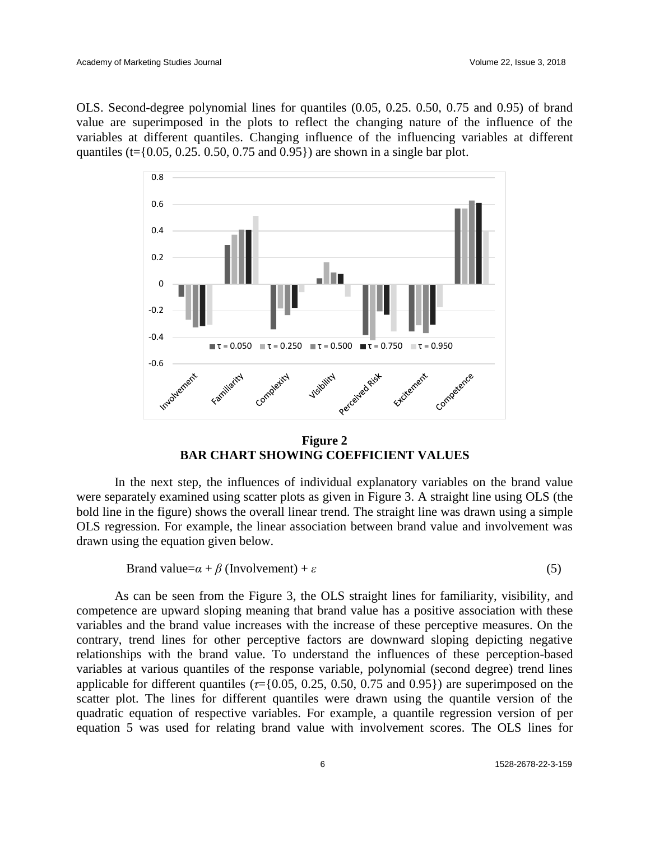OLS. Second-degree polynomial lines for quantiles (0.05, 0.25. 0.50, 0.75 and 0.95) of brand value are superimposed in the plots to reflect the changing nature of the influence of the variables at different quantiles. Changing influence of the influencing variables at different quantiles (t= $\{0.05, 0.25, 0.50, 0.75, \text{ and } 0.95\}$ ) are shown in a single bar plot.



**Figure 2 BAR CHART SHOWING COEFFICIENT VALUES**

In the next step, the influences of individual explanatory variables on the brand value were separately examined using scatter plots as given in Figure 3. A straight line using OLS (the bold line in the figure) shows the overall linear trend. The straight line was drawn using a simple OLS regression. For example, the linear association between brand value and involvement was drawn using the equation given below.

Brand value= $\alpha + \beta$  (Involvement) +  $\varepsilon$  (5)

As can be seen from the Figure 3, the OLS straight lines for familiarity, visibility, and competence are upward sloping meaning that brand value has a positive association with these variables and the brand value increases with the increase of these perceptive measures. On the contrary, trend lines for other perceptive factors are downward sloping depicting negative relationships with the brand value. To understand the influences of these perception-based variables at various quantiles of the response variable, polynomial (second degree) trend lines applicable for different quantiles ( $\tau$ ={0.05, 0.25, 0.50, 0.75 and 0.95}) are superimposed on the scatter plot. The lines for different quantiles were drawn using the quantile version of the quadratic equation of respective variables. For example, a quantile regression version of per equation 5 was used for relating brand value with involvement scores. The OLS lines for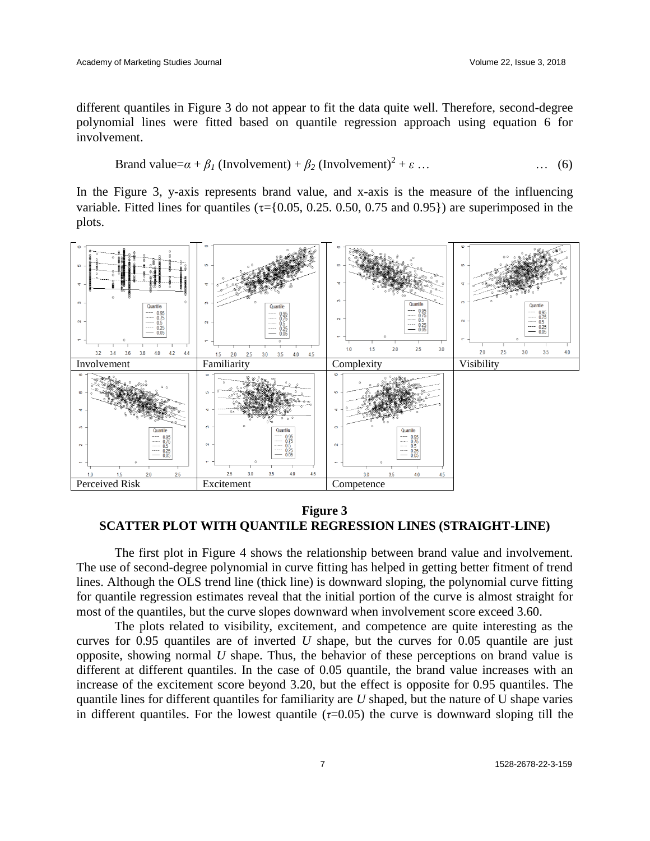different quantiles in Figure 3 do not appear to fit the data quite well. Therefore, second-degree polynomial lines were fitted based on quantile regression approach using equation 6 for involvement.

$$
Brand value = \alpha + \beta_1 (Involvement) + \beta_2 (Involvement)^2 + \varepsilon ... \qquad \qquad \dots \qquad (6)
$$

In the Figure 3, y-axis represents brand value, and x-axis is the measure of the influencing variable. Fitted lines for quantiles ( $\tau$ ={0.05, 0.25, 0.50, 0.75 and 0.95}) are superimposed in the plots.



**Figure 3 SCATTER PLOT WITH QUANTILE REGRESSION LINES (STRAIGHT-LINE)**

The first plot in Figure 4 shows the relationship between brand value and involvement. The use of second-degree polynomial in curve fitting has helped in getting better fitment of trend lines. Although the OLS trend line (thick line) is downward sloping, the polynomial curve fitting for quantile regression estimates reveal that the initial portion of the curve is almost straight for most of the quantiles, but the curve slopes downward when involvement score exceed 3.60.

The plots related to visibility, excitement, and competence are quite interesting as the curves for 0.95 quantiles are of inverted *U* shape, but the curves for 0.05 quantile are just opposite, showing normal *U* shape. Thus, the behavior of these perceptions on brand value is different at different quantiles. In the case of 0.05 quantile, the brand value increases with an increase of the excitement score beyond 3.20, but the effect is opposite for 0.95 quantiles. The quantile lines for different quantiles for familiarity are *U* shaped, but the nature of U shape varies in different quantiles. For the lowest quantile  $(\tau=0.05)$  the curve is downward sloping till the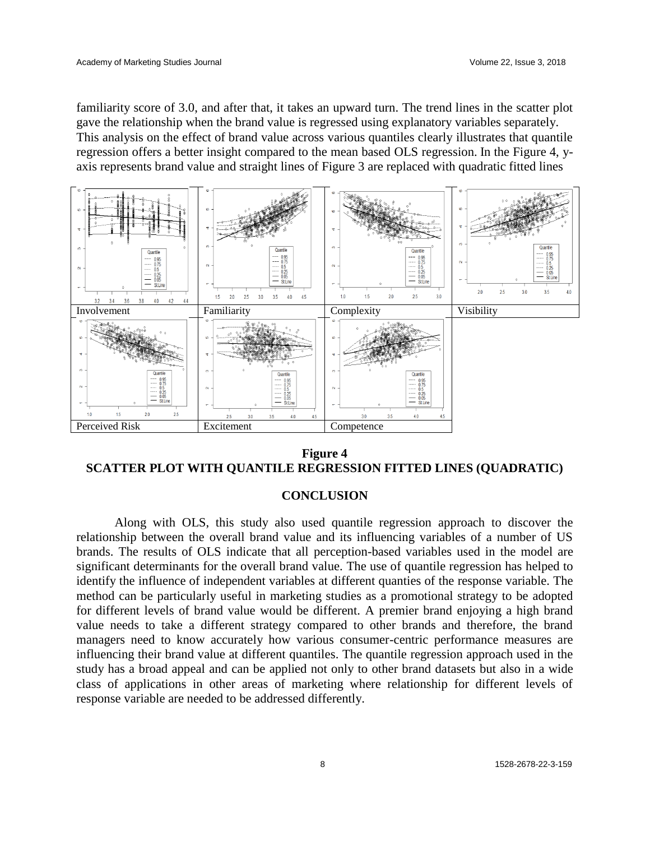familiarity score of 3.0, and after that, it takes an upward turn. The trend lines in the scatter plot gave the relationship when the brand value is regressed using explanatory variables separately. This analysis on the effect of brand value across various quantiles clearly illustrates that quantile regression offers a better insight compared to the mean based OLS regression. In the Figure 4, yaxis represents brand value and straight lines of Figure 3 are replaced with quadratic fitted lines



**Figure 4 SCATTER PLOT WITH QUANTILE REGRESSION FITTED LINES (QUADRATIC)**

### **CONCLUSION**

Along with OLS, this study also used quantile regression approach to discover the relationship between the overall brand value and its influencing variables of a number of US brands. The results of OLS indicate that all perception-based variables used in the model are significant determinants for the overall brand value. The use of quantile regression has helped to identify the influence of independent variables at different quanties of the response variable. The method can be particularly useful in marketing studies as a promotional strategy to be adopted for different levels of brand value would be different. A premier brand enjoying a high brand value needs to take a different strategy compared to other brands and therefore, the brand managers need to know accurately how various consumer-centric performance measures are influencing their brand value at different quantiles. The quantile regression approach used in the study has a broad appeal and can be applied not only to other brand datasets but also in a wide class of applications in other areas of marketing where relationship for different levels of response variable are needed to be addressed differently.